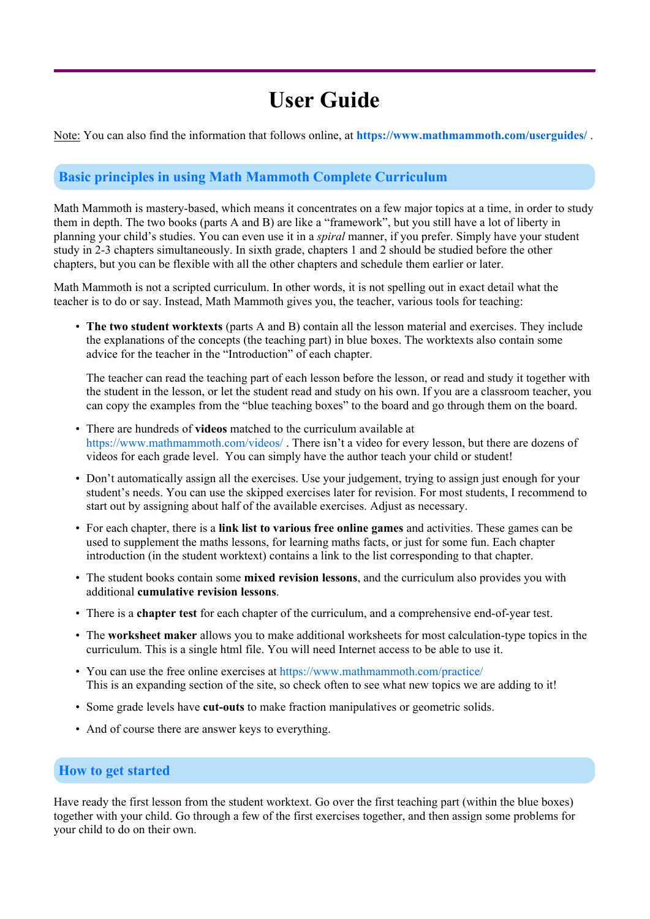# **User Guide**

Note: You can also find the information that follows online, at **https://www.mathmammoth.com/userguides/** .

# **Basic principles in using Math Mammoth Complete Curriculum**

Math Mammoth is mastery-based, which means it concentrates on a few major topics at a time, in order to study them in depth. The two books (parts A and B) are like a "framework", but you still have a lot of liberty in planning your child's studies. You can even use it in a *spiral* manner, if you prefer. Simply have your student study in 2-3 chapters simultaneously. In sixth grade, chapters 1 and 2 should be studied before the other chapters, but you can be flexible with all the other chapters and schedule them earlier or later.

Math Mammoth is not a scripted curriculum. In other words, it is not spelling out in exact detail what the teacher is to do or say. Instead, Math Mammoth gives you, the teacher, various tools for teaching:

• **The two student worktexts** (parts A and B) contain all the lesson material and exercises. They include the explanations of the concepts (the teaching part) in blue boxes. The worktexts also contain some advice for the teacher in the "Introduction" of each chapter.

The teacher can read the teaching part of each lesson before the lesson, or read and study it together with the student in the lesson, or let the student read and study on his own. If you are a classroom teacher, you can copy the examples from the "blue teaching boxes" to the board and go through them on the board.

- There are hundreds of **videos** matched to the curriculum available at https://www.mathmammoth.com/videos/ . There isn't a video for every lesson, but there are dozens of videos for each grade level. You can simply have the author teach your child or student!
- Don't automatically assign all the exercises. Use your judgement, trying to assign just enough for your student's needs. You can use the skipped exercises later for revision. For most students, I recommend to start out by assigning about half of the available exercises. Adjust as necessary.
- For each chapter, there is a **link list to various free online games** and activities. These games can be used to supplement the maths lessons, for learning maths facts, or just for some fun. Each chapter introduction (in the student worktext) contains a link to the list corresponding to that chapter.
- The student books contain some **mixed revision lessons**, and the curriculum also provides you with additional **cumulative revision lessons**.
- There is a **chapter test** for each chapter of the curriculum, and a comprehensive end-of-year test.
- The **worksheet maker** allows you to make additional worksheets for most calculation-type topics in the curriculum. This is a single html file. You will need Internet access to be able to use it.
- You can use the free online exercises at https://www.mathmammoth.com/practice/ This is an expanding section of the site, so check often to see what new topics we are adding to it!
- Some grade levels have **cut-outs** to make fraction manipulatives or geometric solids.
- And of course there are answer keys to everything.

#### **How to get started**

Have ready the first lesson from the student worktext. Go over the first teaching part (within the blue boxes) together with your child. Go through a few of the first exercises together, and then assign some problems for your child to do on their own.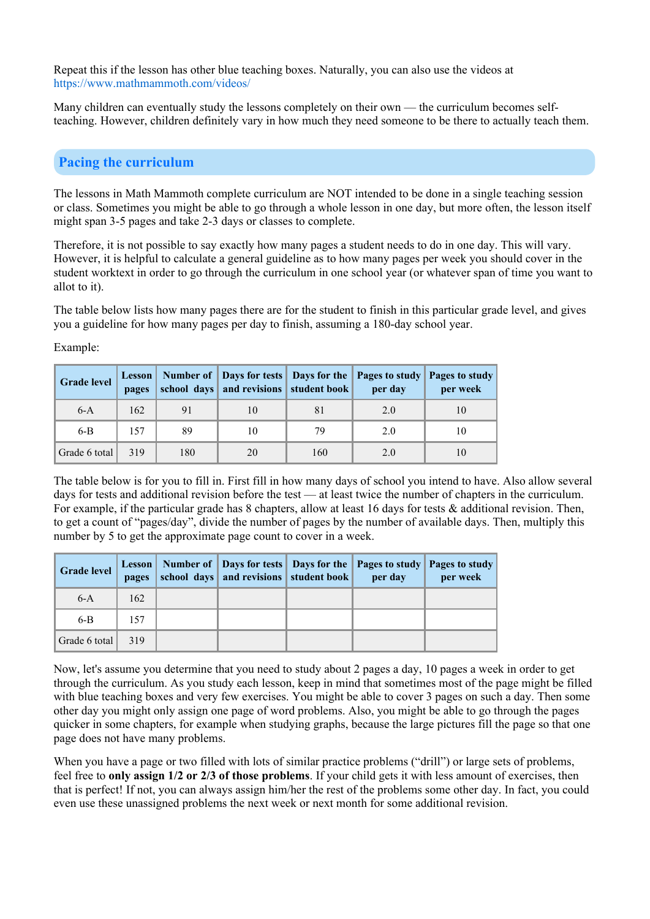Repeat this if the lesson has other blue teaching boxes. Naturally, you can also use the videos at https://www.mathmammoth.com/videos/

Many children can eventually study the lessons completely on their own — the curriculum becomes selfteaching. However, children definitely vary in how much they need someone to be there to actually teach them.

## **Pacing the curriculum**

The lessons in Math Mammoth complete curriculum are NOT intended to be done in a single teaching session or class. Sometimes you might be able to go through a whole lesson in one day, but more often, the lesson itself might span 3-5 pages and take 2-3 days or classes to complete.

Therefore, it is not possible to say exactly how many pages a student needs to do in one day. This will vary. However, it is helpful to calculate a general guideline as to how many pages per week you should cover in the student worktext in order to go through the curriculum in one school year (or whatever span of time you want to allot to it).

The table below lists how many pages there are for the student to finish in this particular grade level, and gives you a guideline for how many pages per day to finish, assuming a 180-day school year.

| <b>Grade level</b> | pages |     | school days and revisions student book |     | Lesson   Number of   Days for tests   Days for the   Pages to study   Pages to study<br>per day | per week |
|--------------------|-------|-----|----------------------------------------|-----|-------------------------------------------------------------------------------------------------|----------|
| $6-A$              | 162   | 91  | 10                                     | 81  | 2.0                                                                                             |          |
| $6-B$              | 157   | 89  | 10                                     | 79  | 2.0                                                                                             | 10       |
| Grade 6 total      | 319   | 180 | 20                                     | 160 | 2.0                                                                                             |          |

Example:

The table below is for you to fill in. First fill in how many days of school you intend to have. Also allow several days for tests and additional revision before the test — at least twice the number of chapters in the curriculum. For example, if the particular grade has 8 chapters, allow at least 16 days for tests & additional revision. Then, to get a count of "pages/day", divide the number of pages by the number of available days. Then, multiply this number by 5 to get the approximate page count to cover in a week.

| <b>Grade level</b> | pages | school days and revisions student book per day | Lesson   Number of   Days for tests   Days for the   Pages to study   Pages to study | per week |
|--------------------|-------|------------------------------------------------|--------------------------------------------------------------------------------------|----------|
| $6-A$              | 162   |                                                |                                                                                      |          |
| $6-B$              | 157   |                                                |                                                                                      |          |
| Grade 6 total      | 319   |                                                |                                                                                      |          |

Now, let's assume you determine that you need to study about 2 pages a day, 10 pages a week in order to get through the curriculum. As you study each lesson, keep in mind that sometimes most of the page might be filled with blue teaching boxes and very few exercises. You might be able to cover 3 pages on such a day. Then some other day you might only assign one page of word problems. Also, you might be able to go through the pages quicker in some chapters, for example when studying graphs, because the large pictures fill the page so that one page does not have many problems.

When you have a page or two filled with lots of similar practice problems ("drill") or large sets of problems, feel free to **only assign 1/2 or 2/3 of those problems**. If your child gets it with less amount of exercises, then that is perfect! If not, you can always assign him/her the rest of the problems some other day. In fact, you could even use these unassigned problems the next week or next month for some additional revision.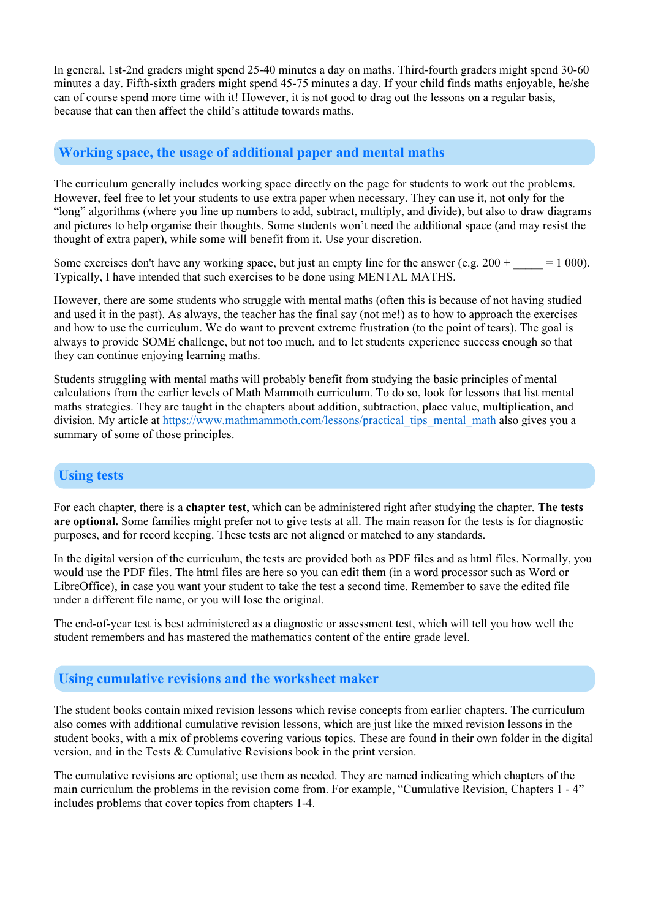In general, 1st-2nd graders might spend 25-40 minutes a day on maths. Third-fourth graders might spend 30-60 minutes a day. Fifth-sixth graders might spend 45-75 minutes a day. If your child finds maths enjoyable, he/she can of course spend more time with it! However, it is not good to drag out the lessons on a regular basis, because that can then affect the child's attitude towards maths.

## **Working space, the usage of additional paper and mental maths**

The curriculum generally includes working space directly on the page for students to work out the problems. However, feel free to let your students to use extra paper when necessary. They can use it, not only for the "long" algorithms (where you line up numbers to add, subtract, multiply, and divide), but also to draw diagrams and pictures to help organise their thoughts. Some students won't need the additional space (and may resist the thought of extra paper), while some will benefit from it. Use your discretion.

Some exercises don't have any working space, but just an empty line for the answer (e.g.  $200 + 1000$ ). Typically, I have intended that such exercises to be done using MENTAL MATHS.

However, there are some students who struggle with mental maths (often this is because of not having studied and used it in the past). As always, the teacher has the final say (not me!) as to how to approach the exercises and how to use the curriculum. We do want to prevent extreme frustration (to the point of tears). The goal is always to provide SOME challenge, but not too much, and to let students experience success enough so that they can continue enjoying learning maths.

Students struggling with mental maths will probably benefit from studying the basic principles of mental calculations from the earlier levels of Math Mammoth curriculum. To do so, look for lessons that list mental maths strategies. They are taught in the chapters about addition, subtraction, place value, multiplication, and division. My article at https://www.mathmammoth.com/lessons/practical\_tips\_mental\_math also gives you a summary of some of those principles.

# **Using tests**

For each chapter, there is a **chapter test**, which can be administered right after studying the chapter. **The tests are optional.** Some families might prefer not to give tests at all. The main reason for the tests is for diagnostic purposes, and for record keeping. These tests are not aligned or matched to any standards.

In the digital version of the curriculum, the tests are provided both as PDF files and as html files. Normally, you would use the PDF files. The html files are here so you can edit them (in a word processor such as Word or LibreOffice), in case you want your student to take the test a second time. Remember to save the edited file under a different file name, or you will lose the original.

The end-of-year test is best administered as a diagnostic or assessment test, which will tell you how well the student remembers and has mastered the mathematics content of the entire grade level.

## **Using cumulative revisions and the worksheet maker**

The student books contain mixed revision lessons which revise concepts from earlier chapters. The curriculum also comes with additional cumulative revision lessons, which are just like the mixed revision lessons in the student books, with a mix of problems covering various topics. These are found in their own folder in the digital version, and in the Tests & Cumulative Revisions book in the print version.

The cumulative revisions are optional; use them as needed. They are named indicating which chapters of the main curriculum the problems in the revision come from. For example, "Cumulative Revision, Chapters 1 - 4" includes problems that cover topics from chapters 1-4.